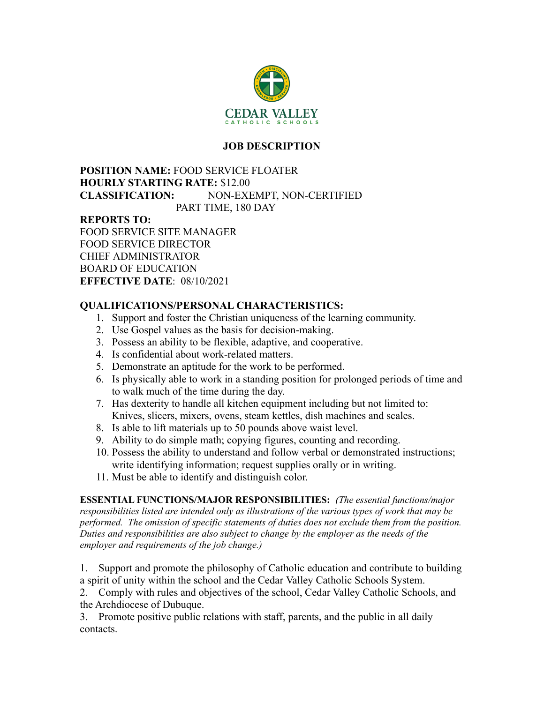

# **JOB DESCRIPTION**

### **POSITION NAME:** FOOD SERVICE FLOATER **HOURLY STARTING RATE:** \$12.00 **CLASSIFICATION:** NON-EXEMPT, NON-CERTIFIED PART TIME, 180 DAY

#### **REPORTS TO:**

FOOD SERVICE SITE MANAGER FOOD SERVICE DIRECTOR CHIEF ADMINISTRATOR BOARD OF EDUCATION **EFFECTIVE DATE**: 08/10/2021

# **QUALIFICATIONS/PERSONAL CHARACTERISTICS:**

- 1. Support and foster the Christian uniqueness of the learning community.
- 2. Use Gospel values as the basis for decision-making.
- 3. Possess an ability to be flexible, adaptive, and cooperative.
- 4. Is confidential about work-related matters.
- 5. Demonstrate an aptitude for the work to be performed.
- 6. Is physically able to work in a standing position for prolonged periods of time and to walk much of the time during the day.
- 7. Has dexterity to handle all kitchen equipment including but not limited to: Knives, slicers, mixers, ovens, steam kettles, dish machines and scales.
- 8. Is able to lift materials up to 50 pounds above waist level.
- 9. Ability to do simple math; copying figures, counting and recording.
- 10. Possess the ability to understand and follow verbal or demonstrated instructions; write identifying information; request supplies orally or in writing.
- 11. Must be able to identify and distinguish color.

**ESSENTIAL FUNCTIONS/MAJOR RESPONSIBILITIES:** *(The essential functions/major responsibilities listed are intended only as illustrations of the various types of work that may be performed. The omission of specific statements of duties does not exclude them from the position. Duties and responsibilities are also subject to change by the employer as the needs of the employer and requirements of the job change.)*

1. Support and promote the philosophy of Catholic education and contribute to building a spirit of unity within the school and the Cedar Valley Catholic Schools System.

2. Comply with rules and objectives of the school, Cedar Valley Catholic Schools, and the Archdiocese of Dubuque.

3. Promote positive public relations with staff, parents, and the public in all daily contacts.